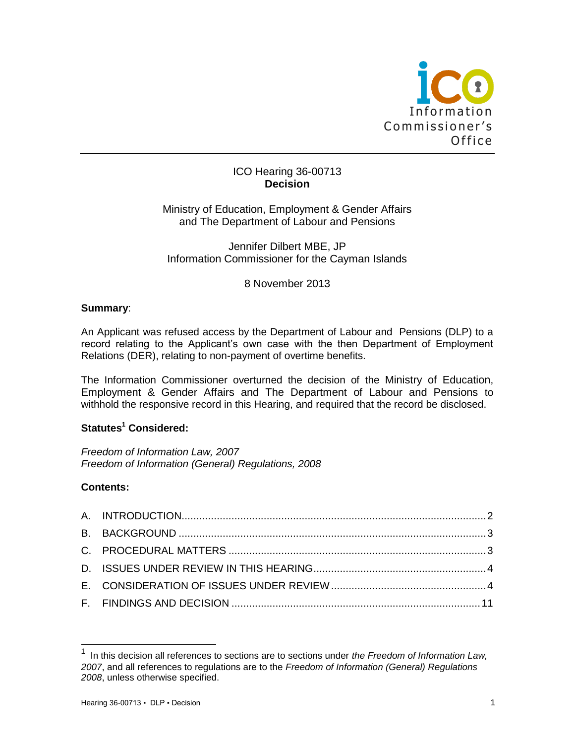

## ICO Hearing 36-00713 **Decision**

Ministry of Education, Employment & Gender Affairs and The Department of Labour and Pensions

Jennifer Dilbert MBE, JP Information Commissioner for the Cayman Islands

# 8 November 2013

#### **Summary**:

An Applicant was refused access by the Department of Labour and Pensions (DLP) to a record relating to the Applicant's own case with the then Department of Employment Relations (DER), relating to non-payment of overtime benefits.

The Information Commissioner overturned the decision of the Ministry of Education, Employment & Gender Affairs and The Department of Labour and Pensions to withhold the responsive record in this Hearing, and required that the record be disclosed.

# **Statutes<sup>1</sup> Considered:**

*Freedom of Information Law, 2007 Freedom of Information (General) Regulations, 2008*

## **Contents:**

l

<sup>1</sup> In this decision all references to sections are to sections under *the Freedom of Information Law, 2007*, and all references to regulations are to the *Freedom of Information (General) Regulations 2008*, unless otherwise specified.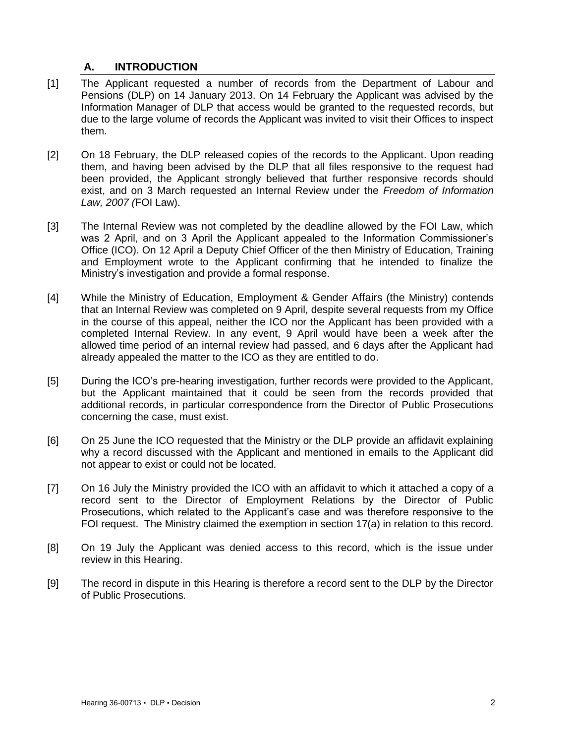# **A. INTRODUCTION**

- [1] The Applicant requested a number of records from the Department of Labour and Pensions (DLP) on 14 January 2013. On 14 February the Applicant was advised by the Information Manager of DLP that access would be granted to the requested records, but due to the large volume of records the Applicant was invited to visit their Offices to inspect them.
- [2] On 18 February, the DLP released copies of the records to the Applicant. Upon reading them, and having been advised by the DLP that all files responsive to the request had been provided, the Applicant strongly believed that further responsive records should exist, and on 3 March requested an Internal Review under the *Freedom of Information Law, 2007 (*FOI Law).
- [3] The Internal Review was not completed by the deadline allowed by the FOI Law, which was 2 April, and on 3 April the Applicant appealed to the Information Commissioner's Office (ICO). On 12 April a Deputy Chief Officer of the then Ministry of Education, Training and Employment wrote to the Applicant confirming that he intended to finalize the Ministry's investigation and provide a formal response.
- [4] While the Ministry of Education, Employment & Gender Affairs (the Ministry) contends that an Internal Review was completed on 9 April, despite several requests from my Office in the course of this appeal, neither the ICO nor the Applicant has been provided with a completed Internal Review. In any event, 9 April would have been a week after the allowed time period of an internal review had passed, and 6 days after the Applicant had already appealed the matter to the ICO as they are entitled to do.
- [5] During the ICO's pre-hearing investigation, further records were provided to the Applicant, but the Applicant maintained that it could be seen from the records provided that additional records, in particular correspondence from the Director of Public Prosecutions concerning the case, must exist.
- [6] On 25 June the ICO requested that the Ministry or the DLP provide an affidavit explaining why a record discussed with the Applicant and mentioned in emails to the Applicant did not appear to exist or could not be located.
- [7] On 16 July the Ministry provided the ICO with an affidavit to which it attached a copy of a record sent to the Director of Employment Relations by the Director of Public Prosecutions, which related to the Applicant's case and was therefore responsive to the FOI request. The Ministry claimed the exemption in section 17(a) in relation to this record.
- [8] On 19 July the Applicant was denied access to this record, which is the issue under review in this Hearing.
- <span id="page-1-0"></span>[9] The record in dispute in this Hearing is therefore a record sent to the DLP by the Director of Public Prosecutions.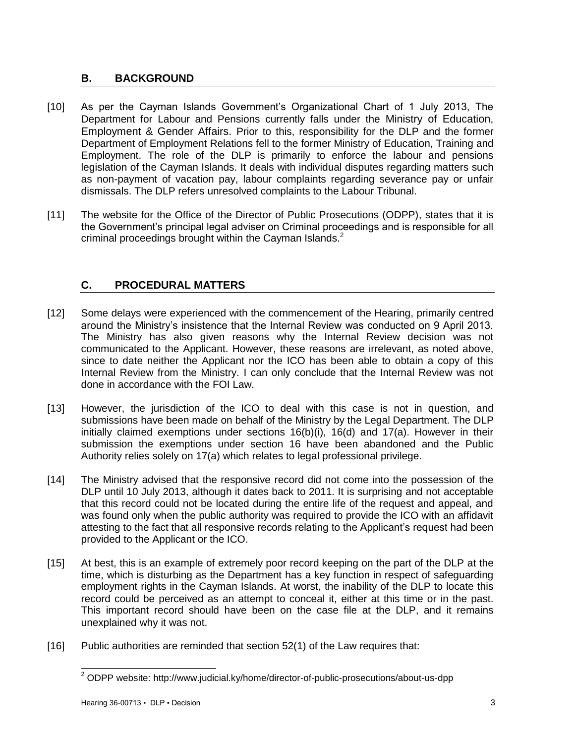# **B. BACKGROUND**

- [10] As per the Cayman Islands Government's Organizational Chart of 1 July 2013, The Department for Labour and Pensions currently falls under the Ministry of Education, Employment & Gender Affairs. Prior to this, responsibility for the DLP and the former Department of Employment Relations fell to the former Ministry of Education, Training and Employment. The role of the DLP is primarily to enforce the labour and pensions legislation of the Cayman Islands. It deals with individual disputes regarding matters such as non-payment of vacation pay, labour complaints regarding severance pay or unfair dismissals. The DLP refers unresolved complaints to the Labour Tribunal.
- [11] The website for the Office of the Director of Public Prosecutions (ODPP), states that it is the Government's principal legal adviser on Criminal proceedings and is responsible for all criminal proceedings brought within the Cayman Islands.<sup>2</sup>

# <span id="page-2-0"></span>**C. PROCEDURAL MATTERS**

- [12] Some delays were experienced with the commencement of the Hearing, primarily centred around the Ministry's insistence that the Internal Review was conducted on 9 April 2013. The Ministry has also given reasons why the Internal Review decision was not communicated to the Applicant. However, these reasons are irrelevant, as noted above, since to date neither the Applicant nor the ICO has been able to obtain a copy of this Internal Review from the Ministry. I can only conclude that the Internal Review was not done in accordance with the FOI Law.
- [13] However, the jurisdiction of the ICO to deal with this case is not in question, and submissions have been made on behalf of the Ministry by the Legal Department. The DLP initially claimed exemptions under sections 16(b)(i), 16(d) and 17(a). However in their submission the exemptions under section 16 have been abandoned and the Public Authority relies solely on 17(a) which relates to legal professional privilege.
- [14] The Ministry advised that the responsive record did not come into the possession of the DLP until 10 July 2013, although it dates back to 2011. It is surprising and not acceptable that this record could not be located during the entire life of the request and appeal, and was found only when the public authority was required to provide the ICO with an affidavit attesting to the fact that all responsive records relating to the Applicant's request had been provided to the Applicant or the ICO.
- [15] At best, this is an example of extremely poor record keeping on the part of the DLP at the time, which is disturbing as the Department has a key function in respect of safeguarding employment rights in the Cayman Islands. At worst, the inability of the DLP to locate this record could be perceived as an attempt to conceal it, either at this time or in the past. This important record should have been on the case file at the DLP, and it remains unexplained why it was not.
- [16] Public authorities are reminded that section 52(1) of the Law requires that:

l

 $2$  ODPP website: http://www.judicial.ky/home/director-of-public-prosecutions/about-us-dpp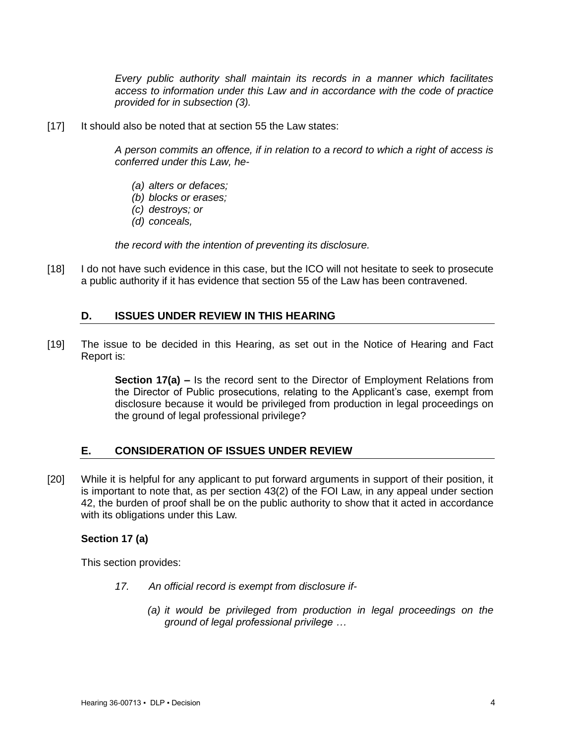*Every public authority shall maintain its records in a manner which facilitates access to information under this Law and in accordance with the code of practice provided for in subsection (3).*

[17] It should also be noted that at section 55 the Law states:

*A person commits an offence, if in relation to a record to which a right of access is conferred under this Law, he-*

- *(a) alters or defaces;*
- *(b) blocks or erases;*
- *(c) destroys; or*
- *(d) conceals,*

*the record with the intention of preventing its disclosure.*

[18] I do not have such evidence in this case, but the ICO will not hesitate to seek to prosecute a public authority if it has evidence that section 55 of the Law has been contravened.

# <span id="page-3-0"></span>**D. ISSUES UNDER REVIEW IN THIS HEARING**

[19] The issue to be decided in this Hearing, as set out in the Notice of Hearing and Fact Report is:

> **Section 17(a) –** Is the record sent to the Director of Employment Relations from the Director of Public prosecutions, relating to the Applicant's case, exempt from disclosure because it would be privileged from production in legal proceedings on the ground of legal professional privilege?

# <span id="page-3-1"></span>**E. CONSIDERATION OF ISSUES UNDER REVIEW**

[20] While it is helpful for any applicant to put forward arguments in support of their position, it is important to note that, as per section 43(2) of the FOI Law, in any appeal under section 42, the burden of proof shall be on the public authority to show that it acted in accordance with its obligations under this Law.

## **Section 17 (a)**

This section provides:

- *17. An official record is exempt from disclosure if-*
	- *(a) it would be privileged from production in legal proceedings on the ground of legal professional privilege …*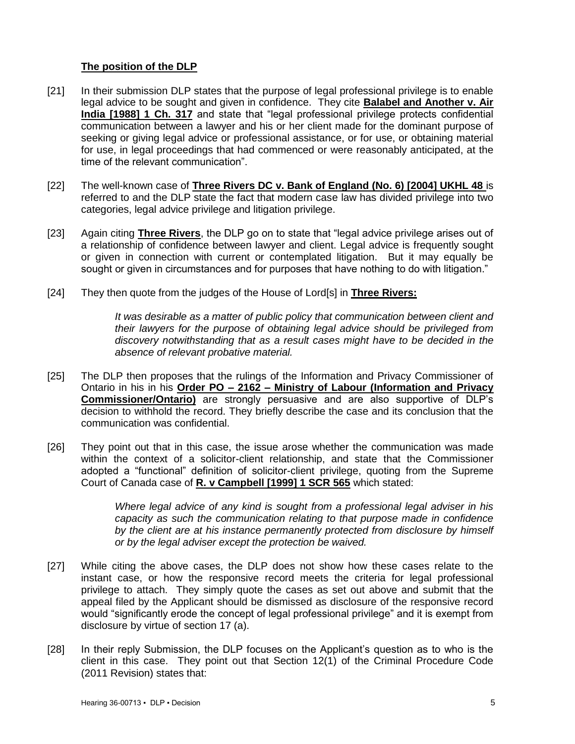## **The position of the DLP**

- [21] In their submission DLP states that the purpose of legal professional privilege is to enable legal advice to be sought and given in confidence. They cite **Balabel and Another v. Air India [1988] 1 Ch. 317** and state that "legal professional privilege protects confidential communication between a lawyer and his or her client made for the dominant purpose of seeking or giving legal advice or professional assistance, or for use, or obtaining material for use, in legal proceedings that had commenced or were reasonably anticipated, at the time of the relevant communication".
- [22] The well-known case of **Three Rivers DC v. Bank of England (No. 6) [2004] UKHL 48** is referred to and the DLP state the fact that modern case law has divided privilege into two categories, legal advice privilege and litigation privilege.
- [23] Again citing **Three Rivers**, the DLP go on to state that "legal advice privilege arises out of a relationship of confidence between lawyer and client. Legal advice is frequently sought or given in connection with current or contemplated litigation. But it may equally be sought or given in circumstances and for purposes that have nothing to do with litigation."
- [24] They then quote from the judges of the House of Lord[s] in **Three Rivers:**

*It was desirable as a matter of public policy that communication between client and their lawyers for the purpose of obtaining legal advice should be privileged from discovery notwithstanding that as a result cases might have to be decided in the absence of relevant probative material.*

- [25] The DLP then proposes that the rulings of the Information and Privacy Commissioner of Ontario in his in his **Order PO – 2162 – Ministry of Labour (Information and Privacy Commissioner/Ontario)** are strongly persuasive and are also supportive of DLP's decision to withhold the record. They briefly describe the case and its conclusion that the communication was confidential.
- [26] They point out that in this case, the issue arose whether the communication was made within the context of a solicitor-client relationship, and state that the Commissioner adopted a "functional" definition of solicitor-client privilege, quoting from the Supreme Court of Canada case of **R. v Campbell [1999] 1 SCR 565** which stated:

*Where legal advice of any kind is sought from a professional legal adviser in his capacity as such the communication relating to that purpose made in confidence by the client are at his instance permanently protected from disclosure by himself or by the legal adviser except the protection be waived.*

- [27] While citing the above cases, the DLP does not show how these cases relate to the instant case, or how the responsive record meets the criteria for legal professional privilege to attach. They simply quote the cases as set out above and submit that the appeal filed by the Applicant should be dismissed as disclosure of the responsive record would "significantly erode the concept of legal professional privilege" and it is exempt from disclosure by virtue of section 17 (a).
- [28] In their reply Submission, the DLP focuses on the Applicant's question as to who is the client in this case. They point out that Section 12(1) of the Criminal Procedure Code (2011 Revision) states that: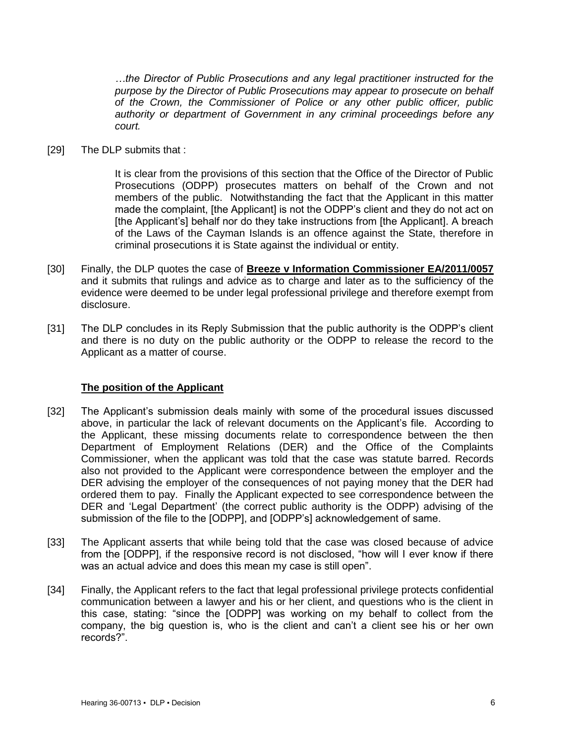*…the Director of Public Prosecutions and any legal practitioner instructed for the purpose by the Director of Public Prosecutions may appear to prosecute on behalf of the Crown, the Commissioner of Police or any other public officer, public authority or department of Government in any criminal proceedings before any court.*

[29] The DLP submits that :

It is clear from the provisions of this section that the Office of the Director of Public Prosecutions (ODPP) prosecutes matters on behalf of the Crown and not members of the public. Notwithstanding the fact that the Applicant in this matter made the complaint, [the Applicant] is not the ODPP's client and they do not act on [the Applicant's] behalf nor do they take instructions from [the Applicant]. A breach of the Laws of the Cayman Islands is an offence against the State, therefore in criminal prosecutions it is State against the individual or entity.

- [30] Finally, the DLP quotes the case of **Breeze v Information Commissioner EA/2011/0057** and it submits that rulings and advice as to charge and later as to the sufficiency of the evidence were deemed to be under legal professional privilege and therefore exempt from disclosure.
- [31] The DLP concludes in its Reply Submission that the public authority is the ODPP's client and there is no duty on the public authority or the ODPP to release the record to the Applicant as a matter of course.

## **The position of the Applicant**

- [32] The Applicant's submission deals mainly with some of the procedural issues discussed above, in particular the lack of relevant documents on the Applicant's file. According to the Applicant, these missing documents relate to correspondence between the then Department of Employment Relations (DER) and the Office of the Complaints Commissioner, when the applicant was told that the case was statute barred. Records also not provided to the Applicant were correspondence between the employer and the DER advising the employer of the consequences of not paying money that the DER had ordered them to pay. Finally the Applicant expected to see correspondence between the DER and 'Legal Department' (the correct public authority is the ODPP) advising of the submission of the file to the [ODPP], and [ODPP's] acknowledgement of same.
- [33] The Applicant asserts that while being told that the case was closed because of advice from the [ODPP], if the responsive record is not disclosed, "how will I ever know if there was an actual advice and does this mean my case is still open".
- [34] Finally, the Applicant refers to the fact that legal professional privilege protects confidential communication between a lawyer and his or her client, and questions who is the client in this case, stating: "since the [ODPP] was working on my behalf to collect from the company, the big question is, who is the client and can't a client see his or her own records?".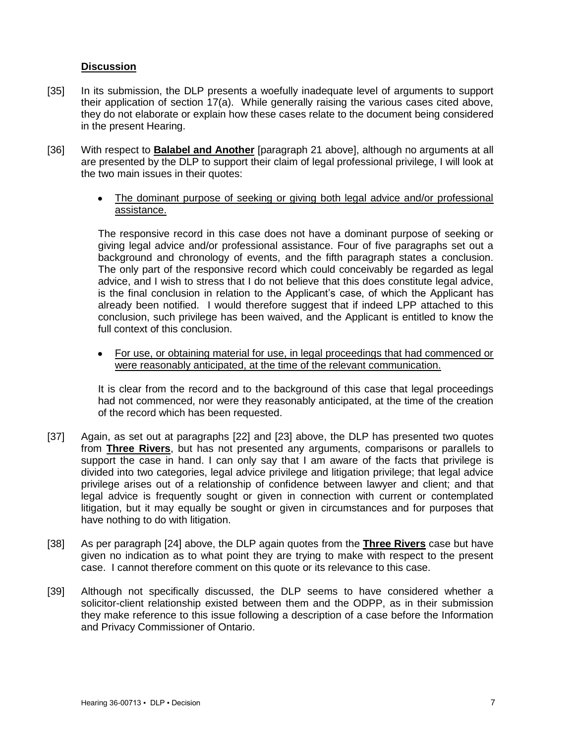### **Discussion**

- [35] In its submission, the DLP presents a woefully inadequate level of arguments to support their application of section 17(a). While generally raising the various cases cited above, they do not elaborate or explain how these cases relate to the document being considered in the present Hearing.
- [36] With respect to **Balabel and Another** [paragraph 21 above], although no arguments at all are presented by the DLP to support their claim of legal professional privilege, I will look at the two main issues in their quotes:
	- The dominant purpose of seeking or giving both legal advice and/or professional assistance.

The responsive record in this case does not have a dominant purpose of seeking or giving legal advice and/or professional assistance. Four of five paragraphs set out a background and chronology of events, and the fifth paragraph states a conclusion. The only part of the responsive record which could conceivably be regarded as legal advice, and I wish to stress that I do not believe that this does constitute legal advice, is the final conclusion in relation to the Applicant's case, of which the Applicant has already been notified. I would therefore suggest that if indeed LPP attached to this conclusion, such privilege has been waived, and the Applicant is entitled to know the full context of this conclusion.

For use, or obtaining material for use, in legal proceedings that had commenced or  $\bullet$ were reasonably anticipated, at the time of the relevant communication.

It is clear from the record and to the background of this case that legal proceedings had not commenced, nor were they reasonably anticipated, at the time of the creation of the record which has been requested.

- [37] Again, as set out at paragraphs [22] and [23] above, the DLP has presented two quotes from **Three Rivers**, but has not presented any arguments, comparisons or parallels to support the case in hand. I can only say that I am aware of the facts that privilege is divided into two categories, legal advice privilege and litigation privilege; that legal advice privilege arises out of a relationship of confidence between lawyer and client; and that legal advice is frequently sought or given in connection with current or contemplated litigation, but it may equally be sought or given in circumstances and for purposes that have nothing to do with litigation.
- [38] As per paragraph [24] above, the DLP again quotes from the **Three Rivers** case but have given no indication as to what point they are trying to make with respect to the present case. I cannot therefore comment on this quote or its relevance to this case.
- [39] Although not specifically discussed, the DLP seems to have considered whether a solicitor-client relationship existed between them and the ODPP, as in their submission they make reference to this issue following a description of a case before the Information and Privacy Commissioner of Ontario.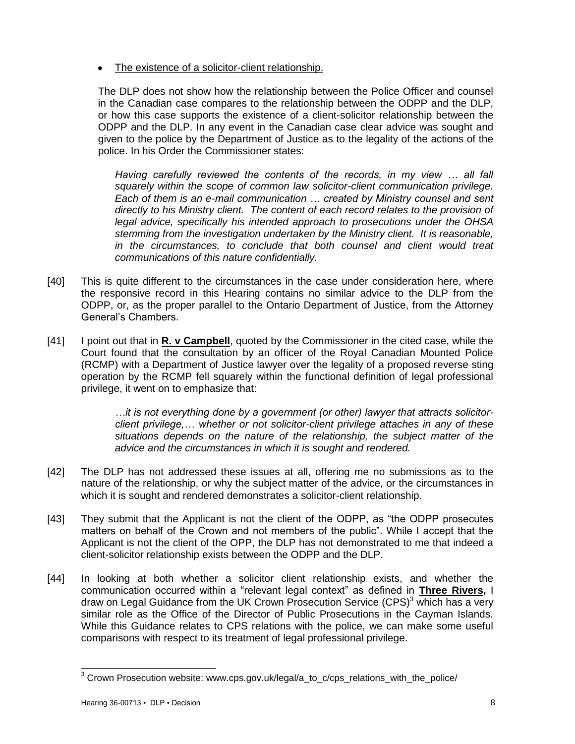The existence of a solicitor-client relationship.

The DLP does not show how the relationship between the Police Officer and counsel in the Canadian case compares to the relationship between the ODPP and the DLP, or how this case supports the existence of a client-solicitor relationship between the ODPP and the DLP. In any event in the Canadian case clear advice was sought and given to the police by the Department of Justice as to the legality of the actions of the police. In his Order the Commissioner states:

*Having carefully reviewed the contents of the records, in my view … all fall squarely within the scope of common law solicitor-client communication privilege. Each of them is an e-mail communication … created by Ministry counsel and sent directly to his Ministry client. The content of each record relates to the provision of legal advice, specifically his intended approach to prosecutions under the OHSA stemming from the investigation undertaken by the Ministry client. It is reasonable, in the circumstances, to conclude that both counsel and client would treat communications of this nature confidentially.*

- [40] This is quite different to the circumstances in the case under consideration here, where the responsive record in this Hearing contains no similar advice to the DLP from the ODPP, or, as the proper parallel to the Ontario Department of Justice, from the Attorney General's Chambers.
- [41] I point out that in **R. v Campbell**, quoted by the Commissioner in the cited case, while the Court found that the consultation by an officer of the Royal Canadian Mounted Police (RCMP) with a Department of Justice lawyer over the legality of a proposed reverse sting operation by the RCMP fell squarely within the functional definition of legal professional privilege, it went on to emphasize that:

*…it is not everything done by a government (or other) lawyer that attracts solicitorclient privilege,… whether or not solicitor-client privilege attaches in any of these situations depends on the nature of the relationship, the subject matter of the advice and the circumstances in which it is sought and rendered.*

- [42] The DLP has not addressed these issues at all, offering me no submissions as to the nature of the relationship, or why the subject matter of the advice, or the circumstances in which it is sought and rendered demonstrates a solicitor-client relationship.
- [43] They submit that the Applicant is not the client of the ODPP, as "the ODPP prosecutes matters on behalf of the Crown and not members of the public". While I accept that the Applicant is not the client of the OPP, the DLP has not demonstrated to me that indeed a client-solicitor relationship exists between the ODPP and the DLP.
- [44] In looking at both whether a solicitor client relationship exists, and whether the communication occurred within a "relevant legal context" as defined in **Three Rivers,** I draw on Legal Guidance from the UK Crown Prosecution Service  $(CPS)^3$  which has a very similar role as the Office of the Director of Public Prosecutions in the Cayman Islands. While this Guidance relates to CPS relations with the police, we can make some useful comparisons with respect to its treatment of legal professional privilege.

l

 $^3$  Crown Prosecution website: www.cps.gov.uk/legal/a\_to\_c/cps\_relations\_with\_the\_police/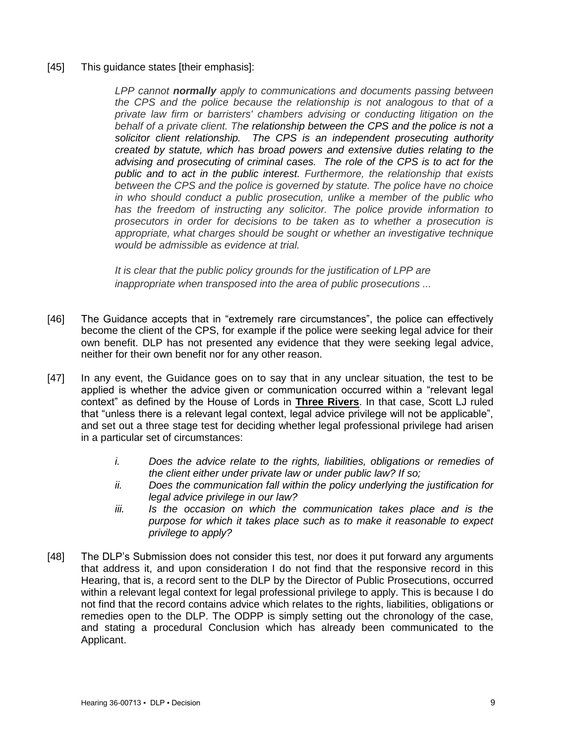#### [45] This guidance states [their emphasis]:

*LPP cannot normally apply to communications and documents passing between the CPS and the police because the relationship is not analogous to that of a private law firm or barristers' chambers advising or conducting litigation on the behalf of a private client. The relationship between the CPS and the police is not a solicitor client relationship. The CPS is an independent prosecuting authority created by statute, which has broad powers and extensive duties relating to the advising and prosecuting of criminal cases. The role of the CPS is to act for the public and to act in the public interest. Furthermore, the relationship that exists between the CPS and the police is governed by statute. The police have no choice in who should conduct a public prosecution, unlike a member of the public who has the freedom of instructing any solicitor. The police provide information to prosecutors in order for decisions to be taken as to whether a prosecution is appropriate, what charges should be sought or whether an investigative technique would be admissible as evidence at trial.*

*It is clear that the public policy grounds for the justification of LPP are inappropriate when transposed into the area of public prosecutions ...*

- [46] The Guidance accepts that in "extremely rare circumstances", the police can effectively become the client of the CPS, for example if the police were seeking legal advice for their own benefit. DLP has not presented any evidence that they were seeking legal advice, neither for their own benefit nor for any other reason.
- [47] In any event, the Guidance goes on to say that in any unclear situation, the test to be applied is whether the advice given or communication occurred within a "relevant legal context" as defined by the House of Lords in **Three Rivers**. In that case, Scott LJ ruled that "unless there is a relevant legal context, legal advice privilege will not be applicable", and set out a three stage test for deciding whether legal professional privilege had arisen in a particular set of circumstances:
	- *i. Does the advice relate to the rights, liabilities, obligations or remedies of the client either under private law or under public law? If so;*
	- *ii. Does the communication fall within the policy underlying the justification for legal advice privilege in our law?*
	- *iii. Is the occasion on which the communication takes place and is the purpose for which it takes place such as to make it reasonable to expect privilege to apply?*
- [48] The DLP's Submission does not consider this test, nor does it put forward any arguments that address it, and upon consideration I do not find that the responsive record in this Hearing, that is, a record sent to the DLP by the Director of Public Prosecutions, occurred within a relevant legal context for legal professional privilege to apply. This is because I do not find that the record contains advice which relates to the rights, liabilities, obligations or remedies open to the DLP. The ODPP is simply setting out the chronology of the case, and stating a procedural Conclusion which has already been communicated to the Applicant.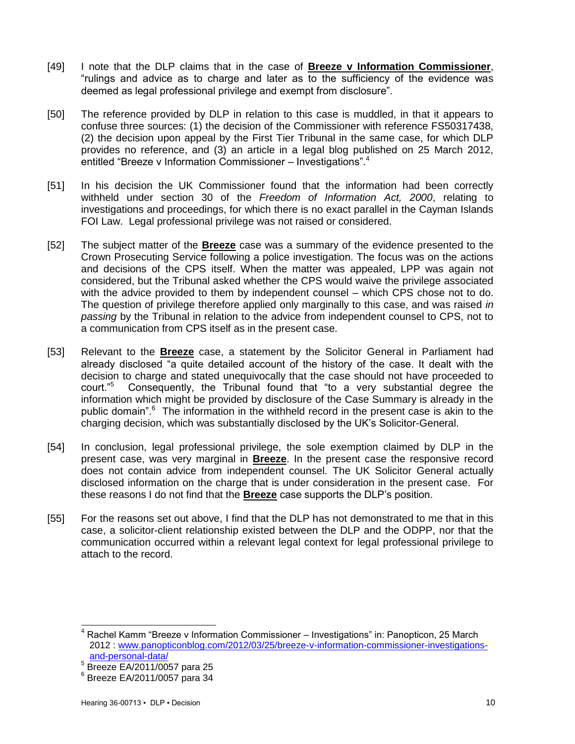- [49] I note that the DLP claims that in the case of **Breeze v Information Commissioner**, "rulings and advice as to charge and later as to the sufficiency of the evidence was deemed as legal professional privilege and exempt from disclosure".
- [50] The reference provided by DLP in relation to this case is muddled, in that it appears to confuse three sources: (1) the decision of the Commissioner with reference FS50317438, (2) the decision upon appeal by the First Tier Tribunal in the same case, for which DLP provides no reference, and (3) an article in a legal blog published on 25 March 2012, entitled "Breeze v Information Commissioner – Investigations".<sup>4</sup>
- [51] In his decision the UK Commissioner found that the information had been correctly withheld under section 30 of the *Freedom of Information Act, 2000*, relating to investigations and proceedings, for which there is no exact parallel in the Cayman Islands FOI Law. Legal professional privilege was not raised or considered.
- [52] The subject matter of the **Breeze** case was a summary of the evidence presented to the Crown Prosecuting Service following a police investigation. The focus was on the actions and decisions of the CPS itself. When the matter was appealed, LPP was again not considered, but the Tribunal asked whether the CPS would waive the privilege associated with the advice provided to them by independent counsel – which CPS chose not to do. The question of privilege therefore applied only marginally to this case, and was raised *in passing* by the Tribunal in relation to the advice from independent counsel to CPS, not to a communication from CPS itself as in the present case.
- [53] Relevant to the **Breeze** case, a statement by the Solicitor General in Parliament had already disclosed "a quite detailed account of the history of the case. It dealt with the decision to charge and stated unequivocally that the case should not have proceeded to court."<sup>5</sup> Consequently, the Tribunal found that "to a very substantial degree the information which might be provided by disclosure of the Case Summary is already in the public domain".<sup>6</sup> The information in the withheld record in the present case is akin to the charging decision, which was substantially disclosed by the UK's Solicitor-General.
- [54] In conclusion, legal professional privilege, the sole exemption claimed by DLP in the present case, was very marginal in **Breeze**. In the present case the responsive record does not contain advice from independent counsel. The UK Solicitor General actually disclosed information on the charge that is under consideration in the present case. For these reasons I do not find that the **Breeze** case supports the DLP's position.
- [55] For the reasons set out above, I find that the DLP has not demonstrated to me that in this case, a solicitor-client relationship existed between the DLP and the ODPP, nor that the communication occurred within a relevant legal context for legal professional privilege to attach to the record.

<span id="page-9-0"></span> $\overline{\phantom{a}}$ <sup>4</sup> Rachel Kamm "Breeze v Information Commissioner – Investigations" in: Panopticon, 25 March 2012 : [www.panopticonblog.com/2012/03/25/breeze-v-information-commissioner-investigations](http://www.panopticonblog.com/2012/03/25/breeze-v-information-commissioner-investigations-and-personal-data/)[and-personal-data/](http://www.panopticonblog.com/2012/03/25/breeze-v-information-commissioner-investigations-and-personal-data/)

<sup>5</sup> Breeze EA/2011/0057 para 25

<sup>6</sup> Breeze EA/2011/0057 para 34